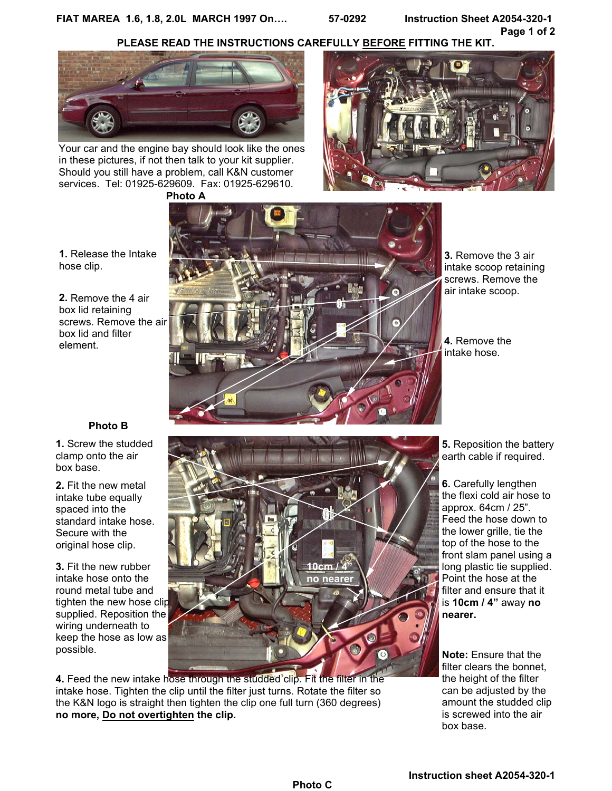**FIAT MAREA 1.6, 1.8, 2.0L MARCH 1997 On…. 57-0292 Instruction Sheet A2054-320-1** 

**Page 1 of 2**



Your car and the engine bay should look like the ones in these pictures, if not then talk to your kit supplier. Should you still have a problem, call K&N customer services. Tel: 01925-629609. Fax: 01925-629610.



**1.** Release the Intake hose clip.

**2.** Remove the 4 air box lid retaining screws. Remove the air box lid and filter element.



**3.** Remove the 3 air intake scoop retaining screws. Remove the air intake scoop.

**4.** Remove the intake hose.

**5.** Reposition the battery earth cable if required.

**6.** Carefully lengthen the flexi cold air hose to approx. 64cm / 25". Feed the hose down to the lower grille, tie the top of the hose to the front slam panel using a long plastic tie supplied. Point the hose at the filter and ensure that it is **10cm / 4"** away **no nearer.** 

**Note:** Ensure that the filter clears the bonnet, the height of the filter can be adjusted by the amount the studded clip is screwed into the air box base.

# **Photo B**

**1.** Screw the studded clamp onto the air box base.

**2.** Fit the new metal intake tube equally spaced into the standard intake hose. Secure with the original hose clip.

**3.** Fit the new rubber intake hose onto the round metal tube and tighten the new hose clip supplied. Reposition the wiring underneath to keep the hose as low as possible.



**4.** Feed the new intake hose through the studded clip. Fit the filter in the intake hose. Tighten the clip until the filter just turns. Rotate the filter so the K&N logo is straight then tighten the clip one full turn (360 degrees) **no more, Do not overtighten the clip.**

**Instruction sheet A2054-320-1**